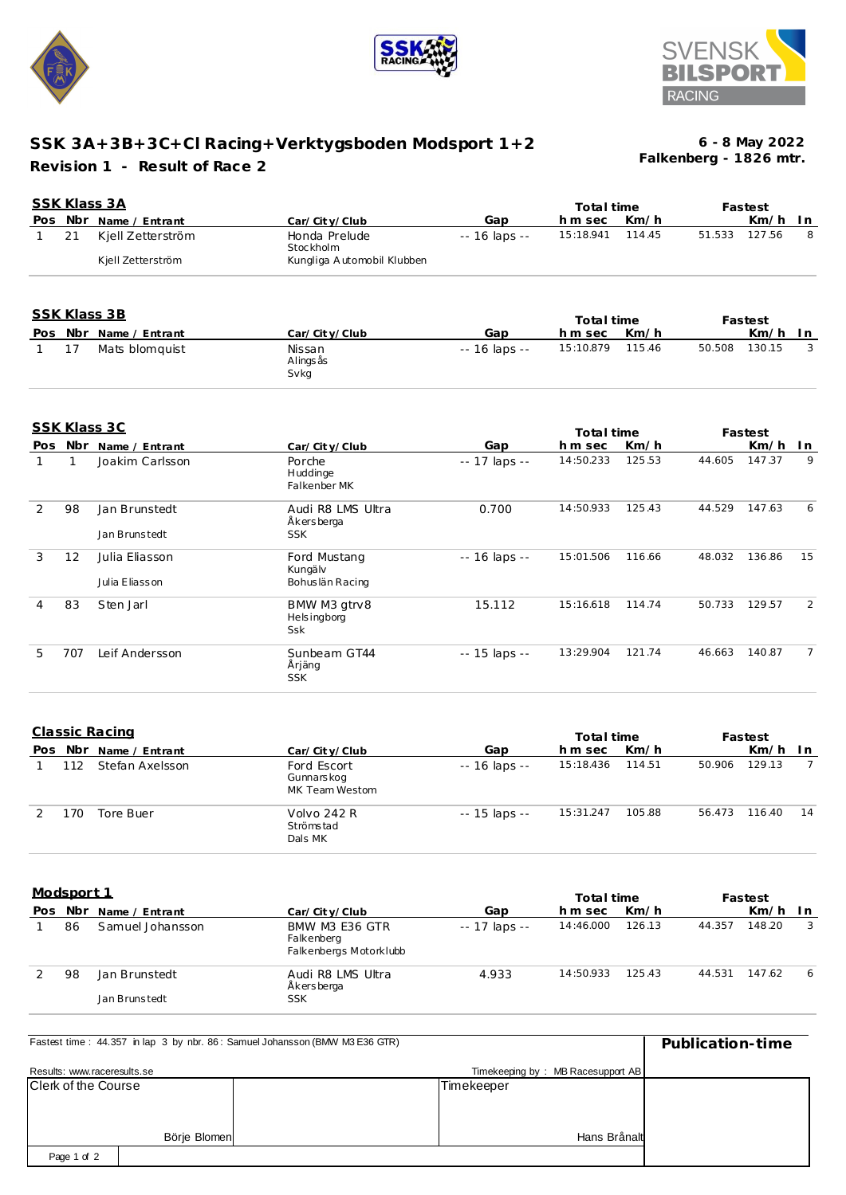





## **SSK 3A+3B+3C+Cl Racing+Verktygsboden Modsport 1+2 Revision 1 - Result of Race 2**

**Falkenberg - 1826 mtr. 6 - 8 May 2022**

|              |              | <b>SSK Klass 3A</b>                      |                                                          |                | Total time            |        |        | Fastest            |                |
|--------------|--------------|------------------------------------------|----------------------------------------------------------|----------------|-----------------------|--------|--------|--------------------|----------------|
|              |              | Pos Nbr Name / Entrant                   | Car/City/Club                                            | Gap            | h m sec               | Km/h   |        | Km/h               | In.            |
| $\mathbf{1}$ | 21           | Kjell Zetterström<br>Kjell Zetterström   | Honda Prelude<br>Stockholm<br>Kungliga Automobil Klubben | -- 16 laps --  | 15:18.941             | 114.45 | 51.533 | 127.56             | 8              |
|              |              |                                          |                                                          |                |                       |        |        |                    |                |
|              |              | <b>SSK Klass 3B</b>                      |                                                          |                | Total time            |        |        | Fastest            |                |
|              |              | Pos Nbr_Name / Entrant                   | Car/City/Club                                            | Gap            | hm sec                | Km/h   |        | Km/h               | In             |
| 1            | 17           | Mats blomquist                           | Nissan<br>Alings ås<br>Svkg                              | -- 16 laps --  | 15:10.879             | 115.46 | 50.508 | 130.15             | 3              |
|              |              | <b>SSK Klass 3C</b>                      |                                                          |                | Total time            |        |        | Fastest            |                |
| Pos          |              | Nbr Name / Entrant                       | Car/City/Club                                            | Gap            | hm sec                | Km/h   |        | Km/h               | In.            |
| 1            | $\mathbf{1}$ | Joakim Carlsson                          | Porche<br>Huddinge<br>Falkenber MK                       | -- 17 laps --  | 14:50.233             | 125.53 | 44.605 | 147.37             | 9              |
| 2            | 98           | Jan Brunstedt                            | Audi R8 LMS Ultra<br>Åkersberga                          | 0.700          | 14:50.933             | 125.43 | 44.529 | 147.63             | 6              |
|              |              | Jan Brunstedt                            | <b>SSK</b>                                               |                |                       |        |        |                    |                |
| 3            | 12           | Julia Eliasson                           | Ford Mustang<br>Kungälv                                  | $-16$ laps $-$ | 15:01.506             | 116.66 | 48.032 | 136.86             | 15             |
|              |              | Julia Eliasson                           | Bohuslän Racing                                          |                |                       |        |        |                    |                |
| 4            | 83           | Sten Jarl                                | BMW M3 gtrv8<br><b>Helsingborg</b><br><b>Ssk</b>         | 15.112         | 15:16.618             | 114.74 | 50.733 | 129.57             | $\overline{2}$ |
| 5            | 707          | Leif Andersson                           | Sunbeam GT44<br>Årjäng<br><b>SSK</b>                     | -- 15 laps --  | 13:29.904             | 121.74 | 46.663 | 140.87             | $\overline{7}$ |
|              |              | Classic Racing<br>Pos Nbr Name / Entrant | Car/City/Club                                            | Gap            | Total time<br>h m sec | Km/h   |        | Fastest<br>Km/h In |                |

|     |     |                 |                                             |               | סוווויס שנ |        |        | ια σισσι |     |
|-----|-----|-----------------|---------------------------------------------|---------------|------------|--------|--------|----------|-----|
| Pos | Nbr | Name / Entrant  | Car/City/Club                               | Gap           | hm sec     | Km/h   |        | Km/h     | -In |
|     | 112 | Stefan Axelsson | Ford Escort<br>Gunnarskog<br>MK Team Westom | -- 16 laps -- | 15:18.436  | 114.51 | 50.906 | 129.13   |     |
|     | 170 | Tore Buer       | Volvo 242 R<br>Strömstad<br>Dals MK         | -- 15 laps -- | 15:31.247  | 105.88 | 56.473 | 116.40   | 14  |

**Modsport 1**

| <u>IVIUUSUULLI</u> |     |                                |                                                        |               | Total time |        | Fastest |        |     |
|--------------------|-----|--------------------------------|--------------------------------------------------------|---------------|------------|--------|---------|--------|-----|
| Pos.               | Nbr | Name / Entrant                 | Car/City/Club                                          | Gap           | h m sec    | Km/h   |         | Km/h   | ln. |
|                    | 86  | Samuel Johansson               | BMW M3 E36 GTR<br>Falkenberg<br>Falkenbergs Motorklubb | -- 17 laps -- | 14:46.000  | 126.13 | 44.357  | 148.20 | 3   |
|                    | 98  | Jan Brunstedt<br>Jan Brunstedt | Audi R8 LMS Ultra<br>Åkersberga<br><b>SSK</b>          | 4.933         | 14:50.933  | 125.43 | 44.531  | 147.62 | -6  |

| Fastest time: 44.357 in lap 3 by nbr. 86: Samuel Johansson (BMW M3 E36 GTR) | Publication-time |            |                                   |  |
|-----------------------------------------------------------------------------|------------------|------------|-----------------------------------|--|
| Results: www.raceresults.se                                                 |                  |            | Timekeeping by: MB Racesupport AB |  |
| Clerk of the Course                                                         |                  | Timekeeper |                                   |  |
|                                                                             |                  |            |                                   |  |
|                                                                             |                  |            |                                   |  |
|                                                                             | Börje Blomen     |            | Hans Brånalt                      |  |
| Page 1 of 2                                                                 |                  |            |                                   |  |